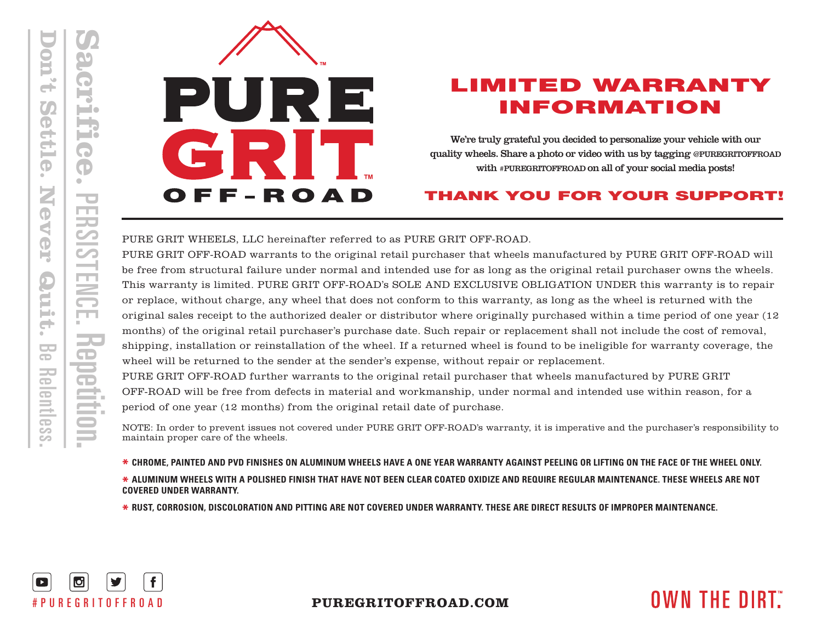

## LIMITED WARRANTY INFORMATION

We're truly grateful you decided to personalize your vehicle with our quality wheels. Share a photo or video with us by tagging @PUREGRITOFFROAD with #PUREGRITOFFROAD on all of your social media posts!

## THANK YOU FOR YOUR SUPPORT!

PURE GRIT WHEELS, LLC hereinafter referred to as PURE GRIT OFF-ROAD.

PURE GRIT OFF-ROAD warrants to the original retail purchaser that wheels manufactured by PURE GRIT OFF-ROAD will be free from structural failure under normal and intended use for as long as the original retail purchaser owns the wheels. This warranty is limited. PURE GRIT OFF-ROAD's SOLE AND EXCLUSIVE OBLIGATION UNDER this warranty is to repair or replace, without charge, any wheel that does not conform to this warranty, as long as the wheel is returned with the original sales receipt to the authorized dealer or distributor where originally purchased within a time period of one year (12 months) of the original retail purchaser's purchase date. Such repair or replacement shall not include the cost of removal, shipping, installation or reinstallation of the wheel. If a returned wheel is found to be ineligible for warranty coverage, the wheel will be returned to the sender at the sender's expense, without repair or replacement.

PURE GRIT OFF-ROAD further warrants to the original retail purchaser that wheels manufactured by PURE GRIT OFF-ROAD will be free from defects in material and workmanship, under normal and intended use within reason, for a period of one year (12 months) from the original retail date of purchase.

NOTE: In order to prevent issues not covered under PURE GRIT OFF-ROAD's warranty, it is imperative and the purchaser's responsibility to maintain proper care of the wheels.

**\* CHROME, PAINTED AND PVD FINISHES ON ALUMINUM WHEELS HAVE A ONE YEAR WARRANTY AGAINST PEELING OR LIFTING ON THE FACE OF THE WHEEL ONLY. \* ALUMINUM WHEELS WITH A POLISHED FINISH THAT HAVE NOT BEEN CLEAR COATED OXIDIZE AND REQUIRE REGULAR MAINTENANCE. THESE WHEELS ARE NOT COVERED UNDER WARRANTY.**

**\* RUST, CORROSION, DISCOLORATION AND PITTING ARE NOT COVERED UNDER WARRANTY. THESE ARE DIRECT RESULTS OF IMPROPER MAINTENANCE.**



## **PUREGRITOFFROAD.COM**

# **OWN THE DIRT.**